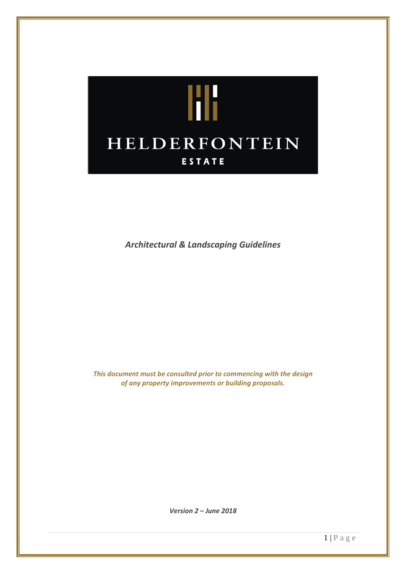

*Architectural & Landscaping Guidelines*

*This document must be consulted prior to commencing with the design of any property improvements or building proposals.*

*Version 2 – June 2018*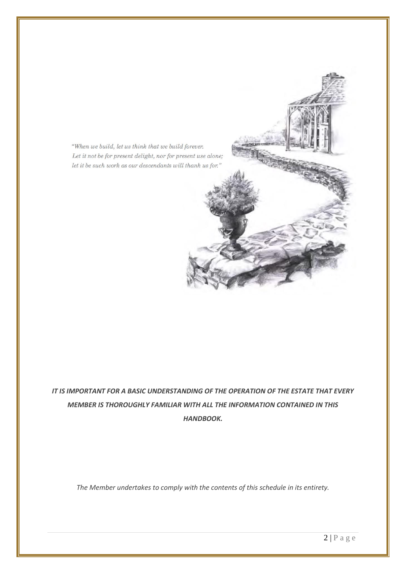"When we build, let us think that we build forever. Let it not be for present delight, nor for present use alone;  $let$  it be such work as our descendants will thank us for."

*IT IS IMPORTANT FOR A BASIC UNDERSTANDING OF THE OPERATION OF THE ESTATE THAT EVERY MEMBER IS THOROUGHLY FAMILIAR WITH ALL THE INFORMATION CONTAINED IN THIS HANDBOOK.*

*The Member undertakes to comply with the contents of this schedule in its entirety.*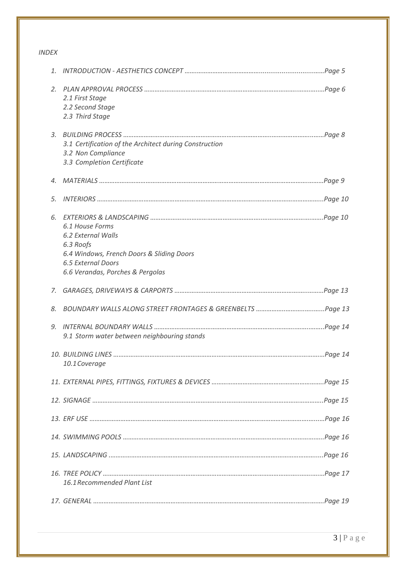# *INDEX*

| 1. |                                                                                                                                                           |  |
|----|-----------------------------------------------------------------------------------------------------------------------------------------------------------|--|
| 2. | 2.1 First Stage<br>2.2 Second Stage<br>2.3 Third Stage                                                                                                    |  |
| 3. | 3.1 Certification of the Architect during Construction<br>3.2 Non Compliance<br>3.3 Completion Certificate                                                |  |
| 4. |                                                                                                                                                           |  |
| 5. |                                                                                                                                                           |  |
| 6. | 6.1 House Forms<br>6.2 External Walls<br>6.3 Roofs<br>6.4 Windows, French Doors & Sliding Doors<br>6.5 External Doors<br>6.6 Verandas, Porches & Pergolas |  |
| 7. |                                                                                                                                                           |  |
|    |                                                                                                                                                           |  |
| 8. |                                                                                                                                                           |  |
| 9. | 9.1 Storm water between neighbouring stands                                                                                                               |  |
|    | 10.1 Coverage                                                                                                                                             |  |
|    |                                                                                                                                                           |  |
|    |                                                                                                                                                           |  |
|    |                                                                                                                                                           |  |
|    |                                                                                                                                                           |  |
|    |                                                                                                                                                           |  |
|    | 16.1 Recommended Plant List                                                                                                                               |  |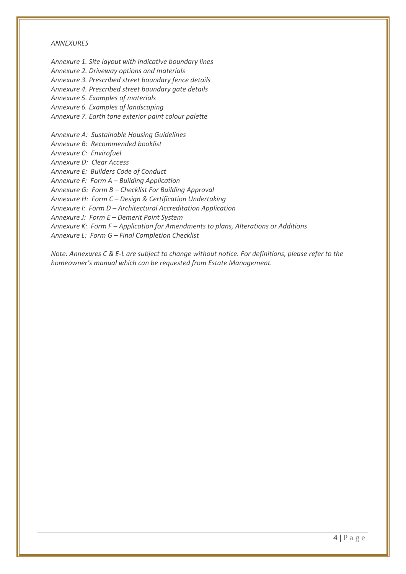#### *ANNEXURES*

*Annexure 1. Site layout with indicative boundary lines*

*Annexure 2. Driveway options and materials*

*Annexure 3. Prescribed street boundary fence details*

*Annexure 4. Prescribed street boundary gate details*

*Annexure 5. Examples of materials*

*Annexure 6. Examples of landscaping*

*Annexure 7. Earth tone exterior paint colour palette*

*Annexure A: Sustainable Housing Guidelines*

*Annexure B: Recommended booklist*

*Annexure C: Envirofuel*

*Annexure D: Clear Access*

*Annexure E: Builders Code of Conduct*

*Annexure F: Form A – Building Application*

*Annexure G: Form B – Checklist For Building Approval*

*Annexure H: Form C – Design & Certification Undertaking*

*Annexure I: Form D – Architectural Accreditation Application*

*Annexure J: Form E – Demerit Point System*

*Annexure K: Form F – Application for Amendments to plans, Alterations or Additions*

*Annexure L: Form G – Final Completion Checklist*

*Note: Annexures C & E-L are subject to change without notice. For definitions, please refer to the homeowner's manual which can be requested from Estate Management.*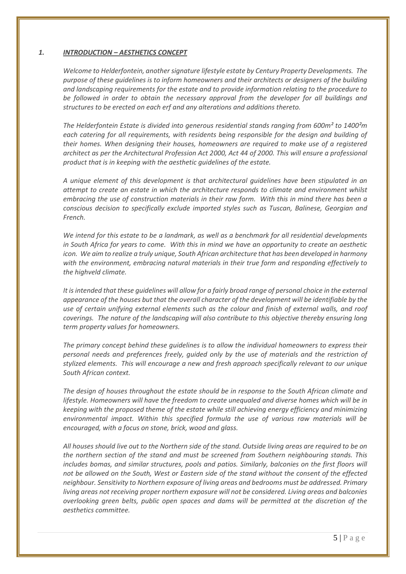# *1. INTRODUCTION – AESTHETICS CONCEPT*

*Welcome to Helderfontein, another signature lifestyle estate by Century Property Developments. The purpose of these guidelines is to inform homeowners and their architects or designers of the building and landscaping requirements for the estate and to provide information relating to the procedure to be followed in order to obtain the necessary approval from the developer for all buildings and structures to be erected on each erf and any alterations and additions thereto.*

*The Helderfontein Estate is divided into generous residential stands ranging from 600m² to 1400²m each catering for all requirements, with residents being responsible for the design and building of their homes. When designing their houses, homeowners are required to make use of a registered architect as per the Architectural Profession Act 2000, Act 44 of 2000. This will ensure a professional product that is in keeping with the aesthetic guidelines of the estate.*

*A unique element of this development is that architectural guidelines have been stipulated in an attempt to create an estate in which the architecture responds to climate and environment whilst embracing the use of construction materials in their raw form. With this in mind there has been a conscious decision to specifically exclude imported styles such as Tuscan, Balinese, Georgian and French.*

*We intend for this estate to be a landmark, as well as a benchmark for all residential developments in South Africa for years to come. With this in mind we have an opportunity to create an aesthetic icon. We aim to realize a truly unique, South African architecture that has been developed in harmony with the environment, embracing natural materials in their true form and responding effectively to the highveld climate.*

*It is intended that these guidelines will allow for a fairly broad range of personal choice in the external appearance of the houses but that the overall character of the development will be identifiable by the use of certain unifying external elements such as the colour and finish of external walls, and roof coverings. The nature of the landscaping will also contribute to this objective thereby ensuring long term property values for homeowners.*

*The primary concept behind these guidelines is to allow the individual homeowners to express their personal needs and preferences freely, guided only by the use of materials and the restriction of stylized elements. This will encourage a new and fresh approach specifically relevant to our unique South African context.*

*The design of houses throughout the estate should be in response to the South African climate and lifestyle. Homeowners will have the freedom to create unequaled and diverse homes which will be in keeping with the proposed theme of the estate while still achieving energy efficiency and minimizing environmental impact. Within this specified formula the use of various raw materials will be encouraged, with a focus on stone, brick, wood and glass.*

*All houses should live out to the Northern side of the stand. Outside living areas are required to be on the northern section of the stand and must be screened from Southern neighbouring stands. This includes bomas, and similar structures, pools and patios. Similarly, balconies on the first floors will not be allowed on the South, West or Eastern side of the stand without the consent of the effected neighbour. Sensitivity to Northern exposure of living areas and bedrooms must be addressed. Primary living areas not receiving proper northern exposure will not be considered. Living areas and balconies overlooking green belts, public open spaces and dams will be permitted at the discretion of the aesthetics committee.*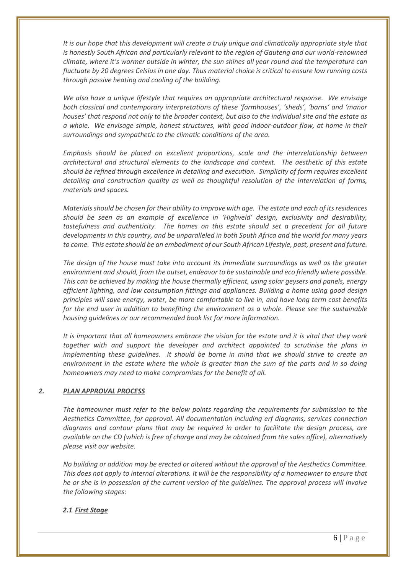*It is our hope that this development will create a truly unique and climatically appropriate style that is honestly South African and particularly relevant to the region of Gauteng and our world-renowned climate, where it's warmer outside in winter, the sun shines all year round and the temperature can fluctuate by 20 degrees Celsius in one day. Thus material choice is critical to ensure low running costs through passive heating and cooling of the building.*

*We also have a unique lifestyle that requires an appropriate architectural response. We envisage both classical and contemporary interpretations of these 'farmhouses', 'sheds', 'barns' and 'manor houses' that respond not only to the broader context, but also to the individual site and the estate as a whole. We envisage simple, honest structures, with good indoor-outdoor flow, at home in their surroundings and sympathetic to the climatic conditions of the area.*

*Emphasis should be placed on excellent proportions, scale and the interrelationship between architectural and structural elements to the landscape and context. The aesthetic of this estate should be refined through excellence in detailing and execution. Simplicity of form requires excellent detailing and construction quality as well as thoughtful resolution of the interrelation of forms, materials and spaces.* 

*Materials should be chosen for their ability to improve with age. The estate and each of its residences should be seen as an example of excellence in 'Highveld' design, exclusivity and desirability, tastefulness and authenticity. The homes on this estate should set a precedent for all future developments in this country, and be unparalleled in both South Africa and the world for many years to come. This estate should be an embodiment of our South African Lifestyle, past, present and future.*

*The design of the house must take into account its immediate surroundings as well as the greater environment and should, from the outset, endeavor to be sustainable and eco friendly where possible. This can be achieved by making the house thermally efficient, using solar geysers and panels, energy efficient lighting, and low consumption fittings and appliances. Building a home using good design principles will save energy, water, be more comfortable to live in, and have long term cost benefits for the end user in addition to benefiting the environment as a whole. Please see the sustainable housing guidelines or our recommended book list for more information.* 

*It is important that all homeowners embrace the vision for the estate and it is vital that they work together with and support the developer and architect appointed to scrutinise the plans in implementing these guidelines. It should be borne in mind that we should strive to create an environment in the estate where the whole is greater than the sum of the parts and in so doing homeowners may need to make compromises for the benefit of all.*

# *2. PLAN APPROVAL PROCESS*

*The homeowner must refer to the below points regarding the requirements for submission to the Aesthetics Committee, for approval. All documentation including erf diagrams, services connection diagrams and contour plans that may be required in order to facilitate the design process, are available on the CD (which is free of charge and may be obtained from the sales office), alternatively please visit our website.*

*No building or addition may be erected or altered without the approval of the Aesthetics Committee. This does not apply to internal alterations. It will be the responsibility of a homeowner to ensure that he or she is in possession of the current version of the guidelines. The approval process will involve the following stages:*

# *2.1 First Stage*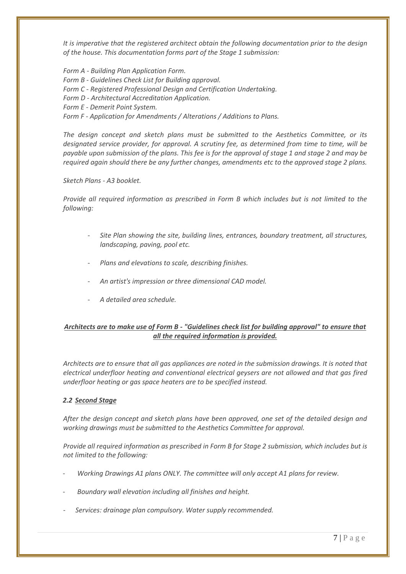*It is imperative that the registered architect obtain the following documentation prior to the design of the house. This documentation forms part of the Stage 1 submission:*

*Form A - Building Plan Application Form. Form B - Guidelines Check List for Building approval. Form C - Registered Professional Design and Certification Undertaking. Form D - Architectural Accreditation Application. Form E - Demerit Point System. Form F - Application for Amendments / Alterations / Additions to Plans.*

*The design concept and sketch plans must be submitted to the Aesthetics Committee, or its designated service provider, for approval. A scrutiny fee, as determined from time to time, will be payable upon submission of the plans. This fee is for the approval of stage 1 and stage 2 and may be required again should there be any further changes, amendments etc to the approved stage 2 plans.*

### *Sketch Plans - A3 booklet.*

*Provide all required information as prescribed in Form B which includes but is not limited to the following:*

- *Site Plan showing the site, building lines, entrances, boundary treatment, all structures, landscaping, paving, pool etc.*
- *Plans and elevations to scale, describing finishes.*
- *An artist's impression or three dimensional CAD model.*
- *A detailed area schedule.*

# *Architects are to make use of Form B - "Guidelines check list for building approval" to ensure that all the required information is provided.*

*Architects are to ensure that all gas appliances are noted in the submission drawings. It is noted that electrical underfloor heating and conventional electrical geysers are not allowed and that gas fired underfloor heating or gas space heaters are to be specified instead.*

# *2.2 Second Stage*

*After the design concept and sketch plans have been approved, one set of the detailed design and working drawings must be submitted to the Aesthetics Committee for approval.*

*Provide all required information as prescribed in Form B for Stage 2 submission, which includes but is not limited to the following:*

- *Working Drawings A1 plans ONLY. The committee will only accept A1 plans for review.*
- *Boundary wall elevation including all finishes and height.*
- *Services: drainage plan compulsory. Water supply recommended.*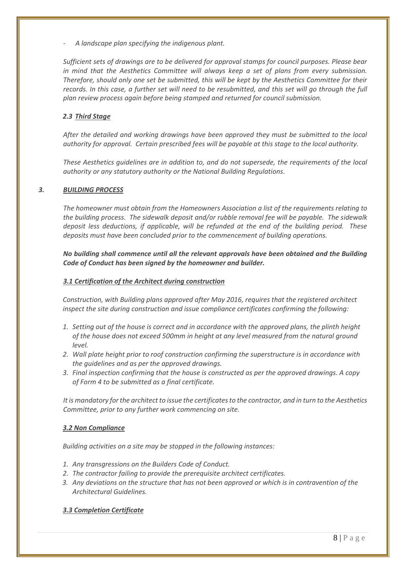- *A landscape plan specifying the indigenous plant.*

*Sufficient sets of drawings are to be delivered for approval stamps for council purposes. Please bear in mind that the Aesthetics Committee will always keep a set of plans from every submission. Therefore, should only one set be submitted, this will be kept by the Aesthetics Committee for their records. In this case, a further set will need to be resubmitted, and this set will go through the full plan review process again before being stamped and returned for council submission.*

# *2.3 Third Stage*

*After the detailed and working drawings have been approved they must be submitted to the local authority for approval. Certain prescribed fees will be payable at this stage to the local authority.*

*These Aesthetics guidelines are in addition to, and do not supersede, the requirements of the local authority or any statutory authority or the National Building Regulations.*

# *3. BUILDING PROCESS*

*The homeowner must obtain from the Homeowners Association a list of the requirements relating to the building process. The sidewalk deposit and/or rubble removal fee will be payable. The sidewalk deposit less deductions, if applicable, will be refunded at the end of the building period. These deposits must have been concluded prior to the commencement of building operations.*

*No building shall commence until all the relevant approvals have been obtained and the Building Code of Conduct has been signed by the homeowner and builder.*

# *3.1 Certification of the Architect during construction*

*Construction, with Building plans approved after May 2016, requires that the registered architect inspect the site during construction and issue compliance certificates confirming the following:*

- *1. Setting out of the house is correct and in accordance with the approved plans, the plinth height of the house does not exceed 500mm in height at any level measured from the natural ground level.*
- *2. Wall plate height prior to roof construction confirming the superstructure is in accordance with the guidelines and as per the approved drawings.*
- *3. Final inspection confirming that the house is constructed as per the approved drawings. A copy of Form 4 to be submitted as a final certificate.*

*It is mandatory for the architect to issue the certificates to the contractor, and in turn to the Aesthetics Committee, prior to any further work commencing on site.*

# *3.2 Non Compliance*

*Building activities on a site may be stopped in the following instances:*

- *1. Any transgressions on the Builders Code of Conduct.*
- *2. The contractor failing to provide the prerequisite architect certificates.*
- *3. Any deviations on the structure that has not been approved or which is in contravention of the Architectural Guidelines.*

# *3.3 Completion Certificate*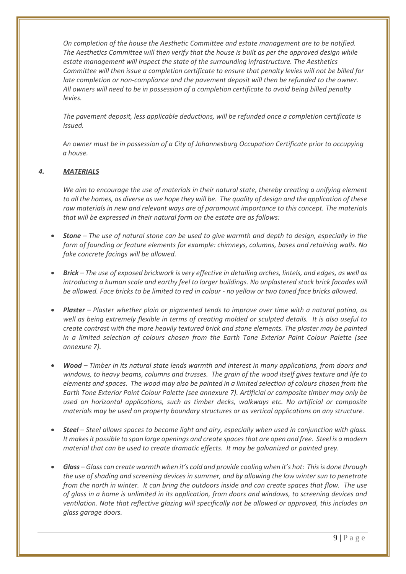*On completion of the house the Aesthetic Committee and estate management are to be notified. The Aesthetics Committee will then verify that the house is built as per the approved design while estate management will inspect the state of the surrounding infrastructure. The Aesthetics Committee will then issue a completion certificate to ensure that penalty levies will not be billed for late completion or non-compliance and the pavement deposit will then be refunded to the owner. All owners will need to be in possession of a completion certificate to avoid being billed penalty levies.*

*The pavement deposit, less applicable deductions, will be refunded once a completion certificate is issued.*

*An owner must be in possession of a City of Johannesburg Occupation Certificate prior to occupying a house.* 

# *4. MATERIALS*

*We aim to encourage the use of materials in their natural state, thereby creating a unifying element to all the homes, as diverse as we hope they will be. The quality of design and the application of these raw materials in new and relevant ways are of paramount importance to this concept. The materials that will be expressed in their natural form on the estate are as follows:*

- *Stone – The use of natural stone can be used to give warmth and depth to design, especially in the form of founding or feature elements for example: chimneys, columns, bases and retaining walls. No fake concrete facings will be allowed.*
- *Brick – The use of exposed brickwork is very effective in detailing arches, lintels, and edges, as well as introducing a human scale and earthy feel to larger buildings. No unplastered stock brick facades will be allowed. Face bricks to be limited to red in colour - no yellow or two toned face bricks allowed.*
- *Plaster – Plaster whether plain or pigmented tends to improve over time with a natural patina, as well as being extremely flexible in terms of creating molded or sculpted details. It is also useful to create contrast with the more heavily textured brick and stone elements. The plaster may be painted in a limited selection of colours chosen from the Earth Tone Exterior Paint Colour Palette (see annexure 7).*
- *Wood – Timber in its natural state lends warmth and interest in many applications, from doors and windows, to heavy beams, columns and trusses. The grain of the wood itself gives texture and life to elements and spaces. The wood may also be painted in a limited selection of colours chosen from the Earth Tone Exterior Paint Colour Palette (see annexure 7). Artificial or composite timber may only be used on horizontal applications, such as timber decks, walkways etc. No artificial or composite materials may be used on property boundary structures or as vertical applications on any structure.*
- *Steel – Steel allows spaces to become light and airy, especially when used in conjunction with glass. It makes it possible to span large openings and create spaces that are open and free. Steel is a modern material that can be used to create dramatic effects. It may be galvanized or painted grey.*
- *Glass – Glass can create warmth when it's cold and provide cooling when it's hot: This is done through the use of shading and screening devices in summer, and by allowing the low winter sun to penetrate from the north in winter. It can bring the outdoors inside and can create spaces that flow. The use of glass in a home is unlimited in its application, from doors and windows, to screening devices and ventilation. Note that reflective glazing will specifically not be allowed or approved, this includes on glass garage doors.*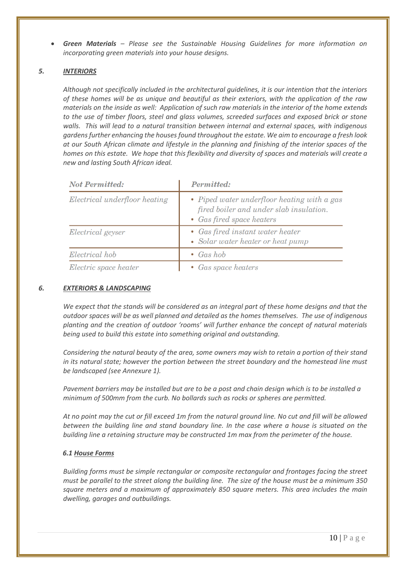*Green Materials – Please see the Sustainable Housing Guidelines for more information on incorporating green materials into your house designs.*

# *5. INTERIORS*

*Although not specifically included in the architectural guidelines, it is our intention that the interiors of these homes will be as unique and beautiful as their exteriors, with the application of the raw materials on the inside as well: Application of such raw materials in the interior of the home extends to the use of timber floors, steel and glass volumes, screeded surfaces and exposed brick or stone walls. This will lead to a natural transition between internal and external spaces, with indigenous gardens further enhancing the houses found throughout the estate. We aim to encourage a fresh look at our South African climate and lifestyle in the planning and finishing of the interior spaces of the homes on this estate. We hope that this flexibility and diversity of spaces and materials will create a new and lasting South African ideal.*

| <b>Not Permitted:</b>         | <b>Permitted:</b>                                                                                                   |  |
|-------------------------------|---------------------------------------------------------------------------------------------------------------------|--|
| Electrical underfloor heating | • Piped water underfloor heating with a gas<br>fired boiler and under slab insulation.<br>• Gas fired space heaters |  |
| Electrical geyser             | • Gas fired instant water heater<br>• Solar water heater or heat pump                                               |  |
| Electrical hob                | • Gas hob                                                                                                           |  |
| Electric space heater         | • Gas space heaters                                                                                                 |  |

#### *6. EXTERIORS & LANDSCAPING*

*We expect that the stands will be considered as an integral part of these home designs and that the outdoor spaces will be as well planned and detailed as the homes themselves. The use of indigenous planting and the creation of outdoor 'rooms' will further enhance the concept of natural materials being used to build this estate into something original and outstanding.*

*Considering the natural beauty of the area, some owners may wish to retain a portion of their stand in its natural state; however the portion between the street boundary and the homestead line must be landscaped (see Annexure 1).*

*Pavement barriers may be installed but are to be a post and chain design which is to be installed a minimum of 500mm from the curb. No bollards such as rocks or spheres are permitted.*

*At no point may the cut or fill exceed 1m from the natural ground line. No cut and fill will be allowed between the building line and stand boundary line. In the case where a house is situated on the building line a retaining structure may be constructed 1m max from the perimeter of the house.*

# *6.1 House Forms*

*Building forms must be simple rectangular or composite rectangular and frontages facing the street must be parallel to the street along the building line. The size of the house must be a minimum 350 square meters and a maximum of approximately 850 square meters. This area includes the main dwelling, garages and outbuildings.*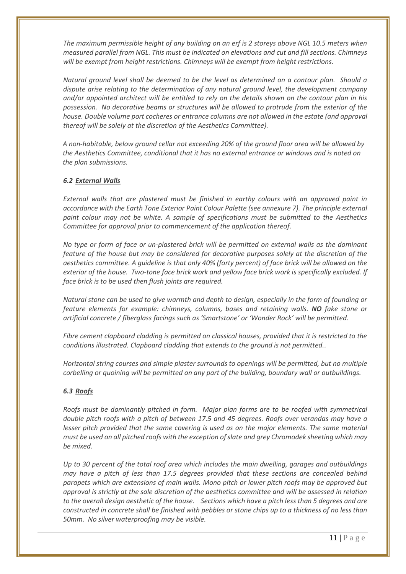*The maximum permissible height of any building on an erf is 2 storeys above NGL 10.5 meters when measured parallel from NGL. This must be indicated on elevations and cut and fill sections. Chimneys will be exempt from height restrictions. Chimneys will be exempt from height restrictions.*

*Natural ground level shall be deemed to be the level as determined on a contour plan. Should a dispute arise relating to the determination of any natural ground level, the development company and/or appointed architect will be entitled to rely on the details shown on the contour plan in his possession. No decorative beams or structures will be allowed to protrude from the exterior of the house. Double volume port cocheres or entrance columns are not allowed in the estate (and approval thereof will be solely at the discretion of the Aesthetics Committee).*

*A non-habitable, below ground cellar not exceeding 20% of the ground floor area will be allowed by the Aesthetics Committee, conditional that it has no external entrance or windows and is noted on the plan submissions.*

### *6.2 External Walls*

*External walls that are plastered must be finished in earthy colours with an approved paint in accordance with the Earth Tone Exterior Paint Colour Palette (see annexure 7). The principle external paint colour may not be white. A sample of specifications must be submitted to the Aesthetics Committee for approval prior to commencement of the application thereof.*

*No type or form of face or un-plastered brick will be permitted on external walls as the dominant feature of the house but may be considered for decorative purposes solely at the discretion of the aesthetics committee. A guideline is that only 40% (forty percent) of face brick will be allowed on the exterior of the house. Two-tone face brick work and yellow face brick work is specifically excluded. If face brick is to be used then flush joints are required.*

*Natural stone can be used to give warmth and depth to design, especially in the form of founding or feature elements for example: chimneys, columns, bases and retaining walls. NO fake stone or artificial concrete / fiberglass facings such as 'Smartstone' or 'Wonder Rock' will be permitted.* 

*Fibre cement clapboard cladding is permitted on classical houses, provided that it is restricted to the conditions illustrated. Clapboard cladding that extends to the ground is not permitted..*

*Horizontal string courses and simple plaster surrounds to openings will be permitted, but no multiple corbelling or quoining will be permitted on any part of the building, boundary wall or outbuildings.*

#### *6.3 Roofs*

*Roofs must be dominantly pitched in form. Major plan forms are to be roofed with symmetrical double pitch roofs with a pitch of between 17.5 and 45 degrees. Roofs over verandas may have a lesser pitch provided that the same covering is used as on the major elements. The same material must be used on all pitched roofs with the exception of slate and grey Chromodek sheeting which may be mixed.*

*Up to 30 percent of the total roof area which includes the main dwelling, garages and outbuildings may have a pitch of less than 17.5 degrees provided that these sections are concealed behind parapets which are extensions of main walls. Mono pitch or lower pitch roofs may be approved but approval is strictly at the sole discretion of the aesthetics committee and will be assessed in relation to the overall design aesthetic of the house. Sections which have a pitch less than 5 degrees and are constructed in concrete shall be finished with pebbles or stone chips up to a thickness of no less than 50mm. No silver waterproofing may be visible.*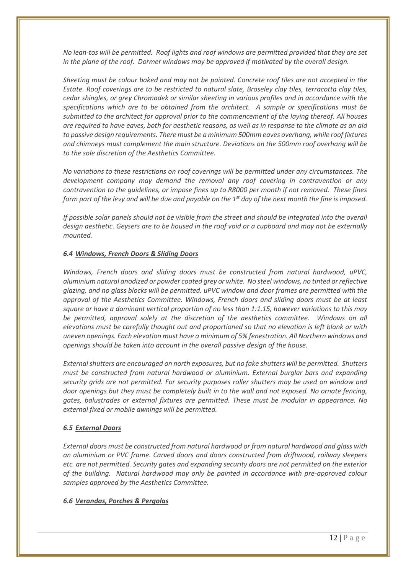*No lean-tos will be permitted. Roof lights and roof windows are permitted provided that they are set in the plane of the roof. Dormer windows may be approved if motivated by the overall design.*

*Sheeting must be colour baked and may not be painted. Concrete roof tiles are not accepted in the Estate. Roof coverings are to be restricted to natural slate, Broseley clay tiles, terracotta clay tiles, cedar shingles, or grey Chromadek or similar sheeting in various profiles and in accordance with the specifications which are to be obtained from the architect. A sample or specifications must be submitted to the architect for approval prior to the commencement of the laying thereof. All houses are required to have eaves, both for aesthetic reasons, as well as in response to the climate as an aid to passive design requirements. There must be a minimum 500mm eaves overhang, while roof fixtures and chimneys must complement the main structure. Deviations on the 500mm roof overhang will be to the sole discretion of the Aesthetics Committee.*

*No variations to these restrictions on roof coverings will be permitted under any circumstances. The development company may demand the removal any roof covering in contravention or any contravention to the guidelines, or impose fines up to R8000 per month if not removed. These fines form part of the levy and will be due and payable on the 1st day of the next month the fine is imposed.*

*If possible solar panels should not be visible from the street and should be integrated into the overall design aesthetic. Geysers are to be housed in the roof void or a cupboard and may not be externally mounted.*

# *6.4 Windows, French Doors & Sliding Doors*

*Windows, French doors and sliding doors must be constructed from natural hardwood, uPVC, aluminium natural anodized or powder coated grey or white. No steel windows, no tinted or reflective glazing, and no glass blocks will be permitted. uPVC window and door frames are permitted with the approval of the Aesthetics Committee. Windows, French doors and sliding doors must be at least square or have a dominant vertical proportion of no less than 1:1.15, however variations to this may be permitted, approval solely at the discretion of the aesthetics committee. Windows on all elevations must be carefully thought out and proportioned so that no elevation is left blank or with uneven openings. Each elevation must have a minimum of 5% fenestration. All Northern windows and openings should be taken into account in the overall passive design of the house.*

*External shutters are encouraged on north exposures, but no fake shutters will be permitted. Shutters must be constructed from natural hardwood or aluminium. External burglar bars and expanding security grids are not permitted. For security purposes roller shutters may be used on window and door openings but they must be completely built in to the wall and not exposed. No ornate fencing, gates, balustrades or external fixtures are permitted. These must be modular in appearance. No external fixed or mobile awnings will be permitted.*

# *6.5 External Doors*

*External doors must be constructed from natural hardwood or from natural hardwood and glass with an aluminium or PVC frame. Carved doors and doors constructed from driftwood, railway sleepers etc. are not permitted. Security gates and expanding security doors are not permitted on the exterior of the building. Natural hardwood may only be painted in accordance with pre-approved colour samples approved by the Aesthetics Committee.*

# *6.6 Verandas, Porches & Pergolas*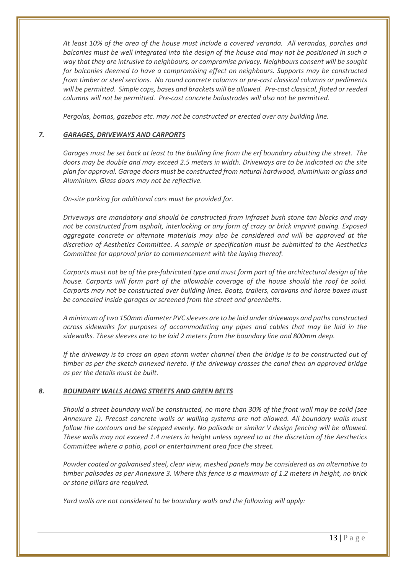*At least 10% of the area of the house must include a covered veranda. All verandas, porches and balconies must be well integrated into the design of the house and may not be positioned in such a way that they are intrusive to neighbours, or compromise privacy. Neighbours consent will be sought for balconies deemed to have a compromising effect on neighbours. Supports may be constructed from timber or steel sections. No round concrete columns or pre-cast classical columns or pediments will be permitted. Simple caps, bases and brackets will be allowed. Pre-cast classical, fluted or reeded columns will not be permitted. Pre-cast concrete balustrades will also not be permitted.*

*Pergolas, bomas, gazebos etc. may not be constructed or erected over any building line.*

# *7. GARAGES, DRIVEWAYS AND CARPORTS*

*Garages must be set back at least to the building line from the erf boundary abutting the street. The doors may be double and may exceed 2.5 meters in width. Driveways are to be indicated on the site plan for approval. Garage doors must be constructed from natural hardwood, aluminium or glass and Aluminium. Glass doors may not be reflective.*

*On-site parking for additional cars must be provided for.*

*Driveways are mandatory and should be constructed from Infraset bush stone tan blocks and may not be constructed from asphalt, interlocking or any form of crazy or brick imprint paving. Exposed aggregate concrete or alternate materials may also be considered and will be approved at the discretion of Aesthetics Committee. A sample or specification must be submitted to the Aesthetics Committee for approval prior to commencement with the laying thereof.*

*Carports must not be of the pre-fabricated type and must form part of the architectural design of the house. Carports will form part of the allowable coverage of the house should the roof be solid. Carports may not be constructed over building lines. Boats, trailers, caravans and horse boxes must be concealed inside garages or screened from the street and greenbelts.*

*A minimum of two 150mm diameter PVC sleeves are to be laid under driveways and paths constructed across sidewalks for purposes of accommodating any pipes and cables that may be laid in the sidewalks. These sleeves are to be laid 2 meters from the boundary line and 800mm deep.*

*If the driveway is to cross an open storm water channel then the bridge is to be constructed out of timber as per the sketch annexed hereto. If the driveway crosses the canal then an approved bridge as per the details must be built.*

# *8. BOUNDARY WALLS ALONG STREETS AND GREEN BELTS*

*Should a street boundary wall be constructed, no more than 30% of the front wall may be solid (see Annexure 1). Precast concrete walls or walling systems are not allowed. All boundary walls must follow the contours and be stepped evenly. No palisade or similar V design fencing will be allowed. These walls may not exceed 1.4 meters in height unless agreed to at the discretion of the Aesthetics Committee where a patio, pool or entertainment area face the street.*

*Powder coated or galvanised steel, clear view, meshed panels may be considered as an alternative to timber palisades as per Annexure 3. Where this fence is a maximum of 1.2 meters in height, no brick or stone pillars are required.*

*Yard walls are not considered to be boundary walls and the following will apply:*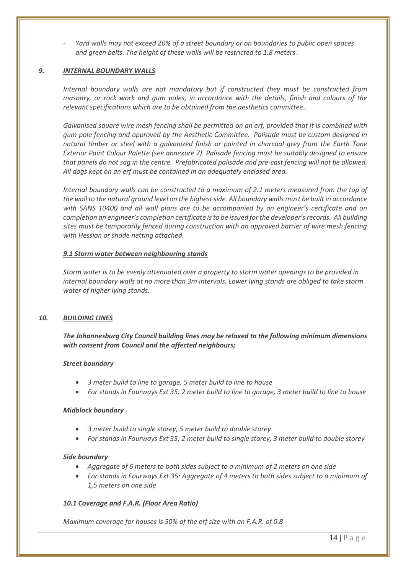- *Yard walls may not exceed 20% of a street boundary or on boundaries to public open spaces and green belts. The height of these walls will be restricted to 1.8 meters.*

### *9. INTERNAL BOUNDARY WALLS*

*Internal boundary walls are not mandatory but if constructed they must be constructed from masonry, or rock work and gum poles, in accordance with the details, finish and colours of the relevant specifications which are to be obtained from the aesthetics committee..*

*Galvanised square wire mesh fencing shall be permitted on an erf, provided that it is combined with gum pole fencing and approved by the Aesthetic Committee. Palisade must be custom designed in natural timber or steel with a galvanized finish or painted in charcoal grey from the Earth Tone Exterior Paint Colour Palette (see annexure 7). Palisade fencing must be suitably designed to ensure that panels do not sag in the centre. Prefabricated palisade and pre-cast fencing will not be allowed. All dogs kept on an erf must be contained in an adequately enclosed area.*

*Internal boundary walls can be constructed to a maximum of 2.1 meters measured from the top of the wall to the natural ground level on the highest side. All boundary walls must be built in accordance with SANS 10400 and all wall plans are to be accompanied by an engineer's certificate and on completion an engineer's completion certificate is to be issued for the developer's records. All building sites must be temporarily fenced during construction with an approved barrier of wire mesh fencing with Hessian or shade netting attached.*

### *9.1 Storm water between neighbouring stands*

*Storm water is to be evenly attenuated over a property to storm water openings to be provided in internal boundary walls at no more than 3m intervals. Lower lying stands are obliged to take storm water of higher lying stands.*

#### *10. BUILDING LINES*

*The Johannesburg City Council building lines may be relaxed to the following minimum dimensions with consent from Council and the affected neighbours;*

#### *Street boundary*

- *3 meter build to line to garage, 5 meter build to line to house*
- *For stands in Fourways Ext 35: 2 meter build to line to garage, 3 meter build to line to house*

#### *Midblock boundary*

- *3 meter build to single storey, 5 meter build to double storey*
- *For stands in Fourways Ext 35: 2 meter build to single storey, 3 meter build to double storey*

#### *Side boundary*

- *Aggregate of 6 meters to both sides subject to a minimum of 2 meters on one side*
- *For stands in Fourways Ext 35: Aggregate of 4 meters to both sides subject to a minimum of 1,5 meters on one side*

# *10.1 Coverage and F.A.R. (Floor Area Ratio)*

*Maximum coverage for houses is 50% of the erf size with an F.A.R. of 0.8*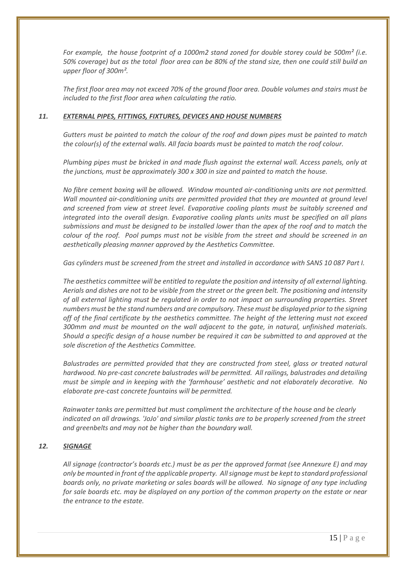*For example, the house footprint of a 1000m2 stand zoned for double storey could be 500m² (i.e. 50% coverage) but as the total floor area can be 80% of the stand size, then one could still build an upper floor of 300m².* 

*The first floor area may not exceed 70% of the ground floor area. Double volumes and stairs must be included to the first floor area when calculating the ratio.*

# *11. EXTERNAL PIPES, FITTINGS, FIXTURES, DEVICES AND HOUSE NUMBERS*

*Gutters must be painted to match the colour of the roof and down pipes must be painted to match the colour(s) of the external walls. All facia boards must be painted to match the roof colour.*

*Plumbing pipes must be bricked in and made flush against the external wall. Access panels, only at the junctions, must be approximately 300 x 300 in size and painted to match the house.*

*No fibre cement boxing will be allowed. Window mounted air-conditioning units are not permitted.*  Wall mounted air-conditioning units are permitted provided that they are mounted at ground level *and screened from view at street level. Evaporative cooling plants must be suitably screened and integrated into the overall design. Evaporative cooling plants units must be specified on all plans submissions and must be designed to be installed lower than the apex of the roof and to match the colour of the roof. Pool pumps must not be visible from the street and should be screened in an aesthetically pleasing manner approved by the Aesthetics Committee.*

*Gas cylinders must be screened from the street and installed in accordance with SANS 10 087 Part I.*

*The aesthetics committee will be entitled to regulate the position and intensity of all external lighting. Aerials and dishes are not to be visible from the street or the green belt. The positioning and intensity of all external lighting must be regulated in order to not impact on surrounding properties. Street numbers must be the stand numbers and are compulsory. These must be displayed prior to the signing off of the final certificate by the aesthetics committee. The height of the lettering must not exceed 300mm and must be mounted on the wall adjacent to the gate, in natural, unfinished materials. Should a specific design of a house number be required it can be submitted to and approved at the sole discretion of the Aesthetics Committee.*

*Balustrades are permitted provided that they are constructed from steel, glass or treated natural hardwood. No pre-cast concrete balustrades will be permitted. All railings, balustrades and detailing must be simple and in keeping with the 'farmhouse' aesthetic and not elaborately decorative. No elaborate pre-cast concrete fountains will be permitted.*

*Rainwater tanks are permitted but must compliment the architecture of the house and be clearly indicated on all drawings. 'JoJo' and similar plastic tanks are to be properly screened from the street and greenbelts and may not be higher than the boundary wall.*

# *12. SIGNAGE*

*All signage (contractor's boards etc.) must be as per the approved format (see Annexure E) and may only be mounted in front of the applicable property. All signage must be kept to standard professional boards only, no private marketing or sales boards will be allowed. No signage of any type including for sale boards etc. may be displayed on any portion of the common property on the estate or near the entrance to the estate.*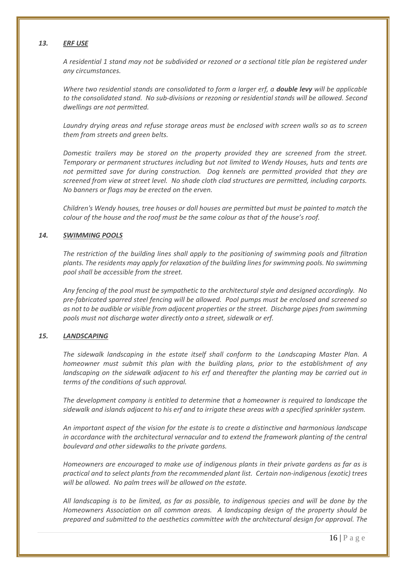### *13. ERF USE*

*A residential 1 stand may not be subdivided or rezoned or a sectional title plan be registered under any circumstances.* 

*Where two residential stands are consolidated to form a larger erf, a double levy will be applicable to the consolidated stand. No sub-divisions or rezoning or residential stands will be allowed. Second dwellings are not permitted.*

*Laundry drying areas and refuse storage areas must be enclosed with screen walls so as to screen them from streets and green belts.*

*Domestic trailers may be stored on the property provided they are screened from the street. Temporary or permanent structures including but not limited to Wendy Houses, huts and tents are not permitted save for during construction. Dog kennels are permitted provided that they are screened from view at street level. No shade cloth clad structures are permitted, including carports. No banners or flags may be erected on the erven.*

*Children's Wendy houses, tree houses or doll houses are permitted but must be painted to match the colour of the house and the roof must be the same colour as that of the house's roof.*

### *14. SWIMMING POOLS*

*The restriction of the building lines shall apply to the positioning of swimming pools and filtration plants. The residents may apply for relaxation of the building lines for swimming pools. No swimming pool shall be accessible from the street.*

*Any fencing of the pool must be sympathetic to the architectural style and designed accordingly. No pre-fabricated sparred steel fencing will be allowed. Pool pumps must be enclosed and screened so as not to be audible or visible from adjacent properties or the street. Discharge pipes from swimming pools must not discharge water directly onto a street, sidewalk or erf.*

# *15. LANDSCAPING*

*The sidewalk landscaping in the estate itself shall conform to the Landscaping Master Plan. A homeowner must submit this plan with the building plans, prior to the establishment of any landscaping on the sidewalk adjacent to his erf and thereafter the planting may be carried out in terms of the conditions of such approval.*

*The development company is entitled to determine that a homeowner is required to landscape the sidewalk and islands adjacent to his erf and to irrigate these areas with a specified sprinkler system.*

*An important aspect of the vision for the estate is to create a distinctive and harmonious landscape in accordance with the architectural vernacular and to extend the framework planting of the central boulevard and other sidewalks to the private gardens.*

*Homeowners are encouraged to make use of indigenous plants in their private gardens as far as is practical and to select plants from the recommended plant list. Certain non-indigenous (exotic) trees will be allowed. No palm trees will be allowed on the estate.*

*All landscaping is to be limited, as far as possible, to indigenous species and will be done by the Homeowners Association on all common areas. A landscaping design of the property should be prepared and submitted to the aesthetics committee with the architectural design for approval. The*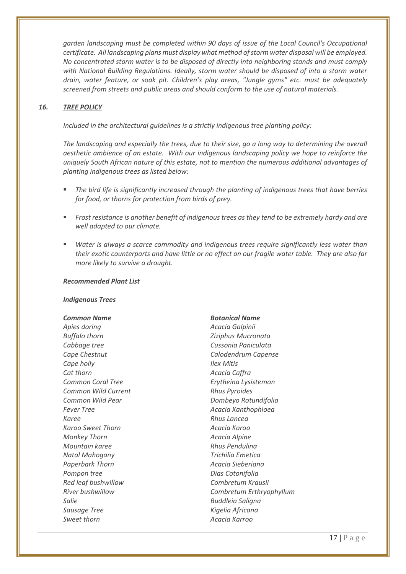agrden landscaping must be completed within 90 days of issue of the Local Council's Occupational *certificate. All landscaping plans must display what method of storm water disposal will be employed. No concentrated storm water is to be disposed of directly into neighboring stands and must comply with National Building Regulations. Ideally, storm water should be disposed of into a storm water drain, water feature, or soak pit. Children's play areas, "Jungle gyms" etc. must be adequately screened from streets and public areas and should conform to the use of natural materials.*

# *16. TREE POLICY*

*Included in the architectural guidelines is a strictly indigenous tree planting policy:*

*The landscaping and especially the trees, due to their size, go a long way to determining the overall aesthetic ambience of an estate. With our indigenous landscaping policy we hope to reinforce the uniquely South African nature of this estate, not to mention the numerous additional advantages of planting indigenous trees as listed below:*

- *The bird life is significantly increased through the planting of indigenous trees that have berries for food, or thorns for protection from birds of prey.*
- *Frost resistance is another benefit of indigenous trees as they tend to be extremely hardy and are well adapted to our climate.*
- *Water is always a scarce commodity and indigenous trees require significantly less water than their exotic counterparts and have little or no effect on our fragile water table. They are also far more likely to survive a drought.*

#### *Recommended Plant List*

#### *Indigenous Trees*

*Apies doring Acacia Galpinii Buffalo thorn Ziziphus Mucronata Cabbage tree Cussonia Paniculata Cape Chestnut Calodendrum Capense Cape holly Ilex Mitis Cat thorn Acacia Caffra Common Coral Tree Erytheina Lysistemon Common Wild Current Rhus Pyroides Common Wild Pear Dombeyo Rotundifolia Fever Tree Acacia Xanthophloea Karee Rhus Lancea Karoo Sweet Thorn Acacia Karoo Monkey Thorn Acacia Alpine Mountain karee Rhus Pendulina Natal Mahogany Trichilia Emetica Paperbark Thorn Acacia Sieberiana Pompon tree Dias Cotonifolia Red leaf bushwillow Combretum Krausii Salie Buddleia Saligna Sausage Tree Kigelia Africana Sweet thorn Acacia Karroo*

#### *Common Name Botanical Name*

*River bushwillow Combretum Erthryophyllum*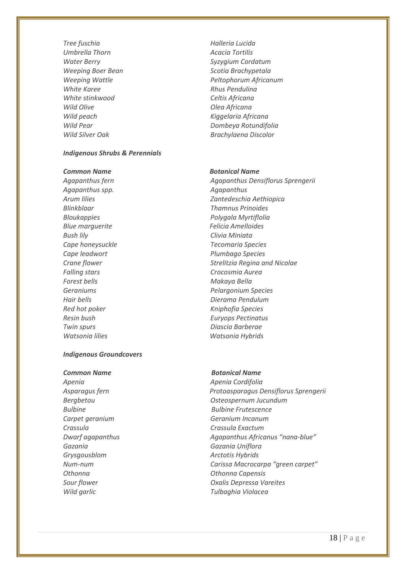*Tree fuschia Halleria Lucida Umbrella Thorn Acacia Tortilis White Karee Rhus Pendulina White stinkwood Celtis Africana Wild Olive Olea Africana Wild peach Kiggelaria Africana*

# *Indigenous Shrubs & Perennials*

*Agapanthus spp. Agapanthus Blinkblaar Thamnus Prinoides Blue marguerite Felicia Amelloides Bush lily Clivia Miniata Cape honeysuckle Tecomaria Species Cape leadwort Plumbago Species Falling stars Crocosmia Aurea Forest bells Makaya Bella Hair bells Dierama Pendulum Red hot poker Kniphofia Species Resin bush Euryops Pectinatus Twin spurs Diascia Barberae Watsonia lilies Watsonia Hybrids*

# *Indigenous Groundcovers*

#### **Common Name Botanical Name**

*Apenia Apenia Cordifolia Crassula Crassula Exactum Gazania Gazania Uniflora Grysgousblom Arctotis Hybrids Othonna Othonna Capensis Wild garlic Tulbaghia Violacea*

*Water Berry Syzygium Cordatum Weeping Boer Bean Scotia Brachypetala Weeping Wattle Peltophorum Africanum Wild Pear Dombeya Rotundifolia Wild Silver Oak Brachylaena Discolor*

#### **Common Name Gotanical Name Botanical Name**

*Agapanthus fern Agapanthus Densiflorus Sprengerii Arum lilies Zantedeschia Aethiopica Bloukappies Polygala Myrtiflolia Crane flower Strelitzia Regina and Nicolae Geraniums Pelargonium Species*

*Asparagus fern Protoasparagus Densiflorus Sprengerii Bergbetou Osteospernum Jucundum Bulbine Bulbine Frutescence Carpet geranium Geranium Incanum Dwarf agapanthus Agapanthus Africanus "nana-blue" Num-num Carissa Macrocarpa "green carpet" Sour flower Oxalis Depressa Vareites*